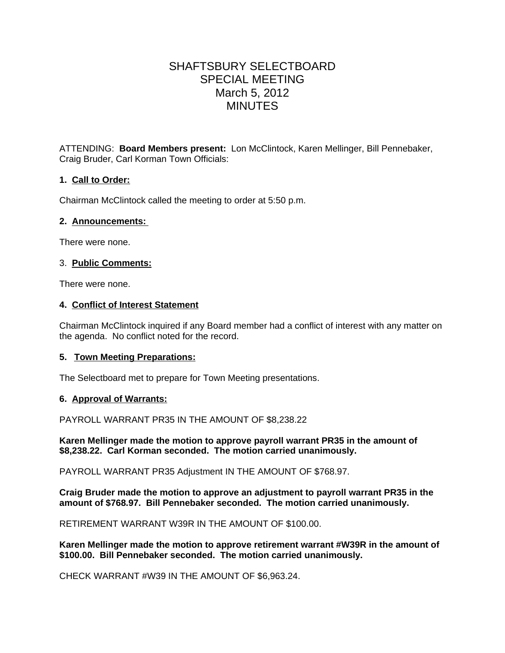# SHAFTSBURY SELECTBOARD SPECIAL MEETING March 5, 2012 MINUTES

ATTENDING: **Board Members present:** Lon McClintock, Karen Mellinger, Bill Pennebaker, Craig Bruder, Carl Korman Town Officials:

## **1. Call to Order:**

Chairman McClintock called the meeting to order at 5:50 p.m.

#### **2. Announcements:**

There were none.

### 3. **Public Comments:**

There were none.

#### **4. Conflict of Interest Statement**

Chairman McClintock inquired if any Board member had a conflict of interest with any matter on the agenda. No conflict noted for the record.

#### **5. Town Meeting Preparations:**

The Selectboard met to prepare for Town Meeting presentations.

#### **6. Approval of Warrants:**

PAYROLL WARRANT PR35 IN THE AMOUNT OF \$8,238.22

**Karen Mellinger made the motion to approve payroll warrant PR35 in the amount of \$8,238.22. Carl Korman seconded. The motion carried unanimously.** 

PAYROLL WARRANT PR35 Adjustment IN THE AMOUNT OF \$768.97.

**Craig Bruder made the motion to approve an adjustment to payroll warrant PR35 in the amount of \$768.97. Bill Pennebaker seconded. The motion carried unanimously.**

RETIREMENT WARRANT W39R IN THE AMOUNT OF \$100.00.

**Karen Mellinger made the motion to approve retirement warrant #W39R in the amount of \$100.00. Bill Pennebaker seconded. The motion carried unanimously.**

CHECK WARRANT #W39 IN THE AMOUNT OF \$6,963.24.